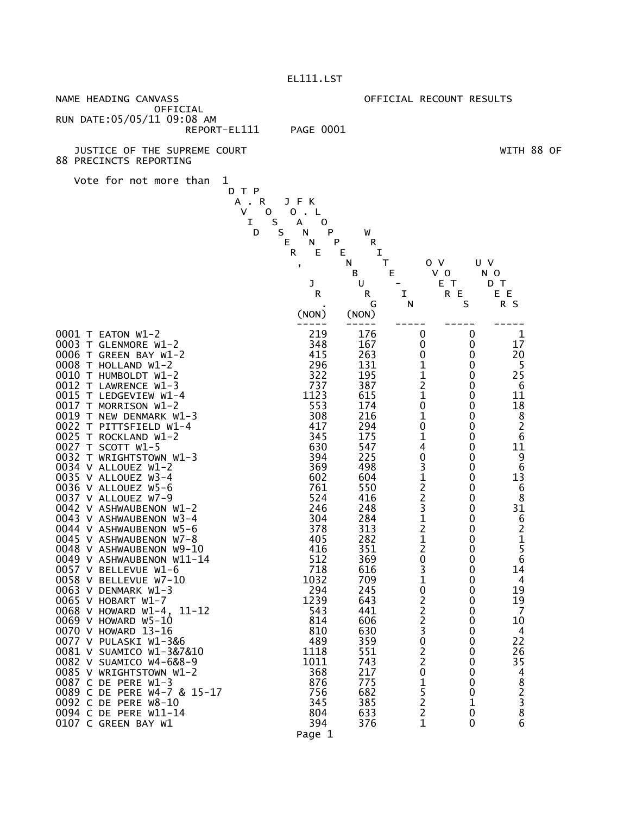| NAME HEADING CANVASS                                                                                                                   | OFFICIAL RECOUNT RESULTS                   |  |  |  |
|----------------------------------------------------------------------------------------------------------------------------------------|--------------------------------------------|--|--|--|
| OFFICIAL<br>RUN DATE: 05/05/11 09:08 AM                                                                                                |                                            |  |  |  |
| <b>PAGE 0001</b><br>REPORT-EL111                                                                                                       |                                            |  |  |  |
|                                                                                                                                        |                                            |  |  |  |
| JUSTICE OF THE SUPREME COURT<br>88 PRECINCTS REPORTING                                                                                 | WITH 88 OF                                 |  |  |  |
| Vote for not more than<br>1                                                                                                            |                                            |  |  |  |
| D T P                                                                                                                                  |                                            |  |  |  |
| A.R<br>JFK                                                                                                                             |                                            |  |  |  |
| V<br>0<br>0<br>L                                                                                                                       |                                            |  |  |  |
| I<br>S<br>А<br>0<br>S<br>D<br>N<br>P<br>W                                                                                              |                                            |  |  |  |
| Е<br>N<br>P<br>R                                                                                                                       |                                            |  |  |  |
| ${\sf R}$<br>Е<br>Ε<br>I                                                                                                               |                                            |  |  |  |
| 0 <sub>V</sub><br>т<br>υv<br>N<br>$\pmb{\mathfrak{z}}$                                                                                 |                                            |  |  |  |
| E<br>$V$ 0<br>В<br>N O<br>E T<br>J<br>U<br>D T                                                                                         |                                            |  |  |  |
| R<br>R<br>I<br>R E                                                                                                                     | E E                                        |  |  |  |
| S<br>G<br>N                                                                                                                            | R S                                        |  |  |  |
| (NON)<br>(NON)                                                                                                                         |                                            |  |  |  |
| 219<br>0001 T EATON W1-2<br>176<br>0<br>0                                                                                              | 1                                          |  |  |  |
| 0003 T GLENMORE W1-2<br>348<br>167<br>0<br>0                                                                                           | 17                                         |  |  |  |
| 0006 T GREEN BAY W1-2<br>415<br>263<br>0<br>0                                                                                          | 20                                         |  |  |  |
| $\mathbf 1$<br>296<br>0008 T HOLLAND W1-2<br>131<br>0<br>$\mathbf{1}$                                                                  | 5<br>25                                    |  |  |  |
| 0010 T HUMBOLDT W1-2<br>195<br>322<br>0<br>$\overline{\mathbf{c}}$<br>737<br>387<br>0012 T LAWRENCE W1-3<br>0                          | 6                                          |  |  |  |
| $\mathbf 1$<br>1123<br>615<br>0015 T LEDGEVIEW W1-4<br>0                                                                               | 11                                         |  |  |  |
| 0<br>553<br>174<br>0017<br>T MORRISON W1-2<br>0                                                                                        |                                            |  |  |  |
| 1<br>308<br>216<br>0019 T NEW DENMARK W1-3<br>0<br>0<br>417<br>294<br>0022 T PITTSFIELD W1-4                                           | 18<br>8<br>2<br>6                          |  |  |  |
| 0<br>$\mathbf 1$<br>0025 T ROCKLAND W1-2<br>345<br>175<br>0                                                                            |                                            |  |  |  |
| 4<br>630<br>547<br>0027 T SCOTT W1-5<br>0                                                                                              | 11                                         |  |  |  |
| $\frac{0}{3}$<br>225<br>394<br>0032 T WRIGHTSTOWN W1-3<br>0                                                                            | $\begin{array}{c} 9 \\ 6 \end{array}$      |  |  |  |
| 0034 V ALLOUEZ W1-2<br>369<br>498<br>0<br>0035 V ALLOUEZ W3-4<br>602<br>604<br>0                                                       | 13                                         |  |  |  |
| $\begin{array}{c}\n1 \\ 2 \\ 3\n\end{array}$<br>0036 V ALLOUEZ W5-6<br>761<br>550<br>0                                                 | 6                                          |  |  |  |
| 524<br>416<br>0037 V ALLOUEZ W7-9<br>0                                                                                                 | 8                                          |  |  |  |
| 246<br>248<br>0<br>0042 V ASHWAUBENON W1-2                                                                                             | 31                                         |  |  |  |
| $\begin{array}{c} 1 \\ 2 \\ 1 \end{array}$<br>304<br>284<br>0043 V ASHWAUBENON W3-4<br>0<br>378<br>313<br>0044 V ASHWAUBENON W5-6<br>0 | $\begin{array}{c} 6 \\ 2 \\ 1 \end{array}$ |  |  |  |
| 405<br>282<br>0045 V ASHWAUBENON W7-8<br>0                                                                                             |                                            |  |  |  |
| $\overline{c}$<br>416<br>351<br>0<br>0048 V ASHWAUBENON W9-10                                                                          | $\overline{5}$                             |  |  |  |
| 0049 V ASHWAUBENON W11-14<br>512<br>369<br>0<br>0<br>718<br>3<br>616<br>0<br>0057 V BELLEVUE W1-6                                      | b<br>14                                    |  |  |  |
| 1032<br>0058 V BELLEVUE W7-10<br>709<br>1<br>0                                                                                         | 4                                          |  |  |  |
| 0<br>294<br>0063 V DENMARK W1-3<br>245<br>0                                                                                            | 19                                         |  |  |  |
| 1239<br>643<br>0065 V HOBART W1-7<br>0                                                                                                 | 19                                         |  |  |  |
| $\begin{array}{c} 2 \\ 2 \\ 2 \end{array}$<br>0068 V HOWARD W1-4, 11-12<br>543<br>441<br>0<br>814<br>606<br>0069 V HOWARD W5-10<br>0   | $\overline{7}$<br>10                       |  |  |  |
| 3<br>630<br>0070 V HOWARD 13-16<br>810<br>0                                                                                            | 4                                          |  |  |  |
| $\mathbf 0$<br>489<br>359<br>0077 V PULASKI W1-3&6<br>0                                                                                | 22                                         |  |  |  |
| $\overline{c}$<br>0081 V SUAMICO W1-3&7&10<br>1118<br>551<br>0<br>$\overline{c}$<br>1011<br>743<br>0082 V SUAMICO W4-6&8-9<br>0        | 26<br>35                                   |  |  |  |
| $\mathbf 0$<br>368<br>0085 V WRIGHTSTOWN W1-2<br>217<br>0                                                                              |                                            |  |  |  |
| $\mathbf 1$<br>775<br>0087 C DE PERE W1-3<br>876<br>0                                                                                  |                                            |  |  |  |
| 5<br>0089 C DE PERE W4-7 & 15-17<br>756<br>682<br>0                                                                                    |                                            |  |  |  |
| $\overline{\mathbf{c}}$<br>385<br>0092 C DE PERE W8-10<br>345<br>1<br>0094 C DE PERE W11-14<br>804<br>633<br>0                         | 48238                                      |  |  |  |
| $\frac{2}{1}$<br>394<br>376<br>0107 C GREEN BAY W1<br>0                                                                                | $\overline{6}$                             |  |  |  |

Page 1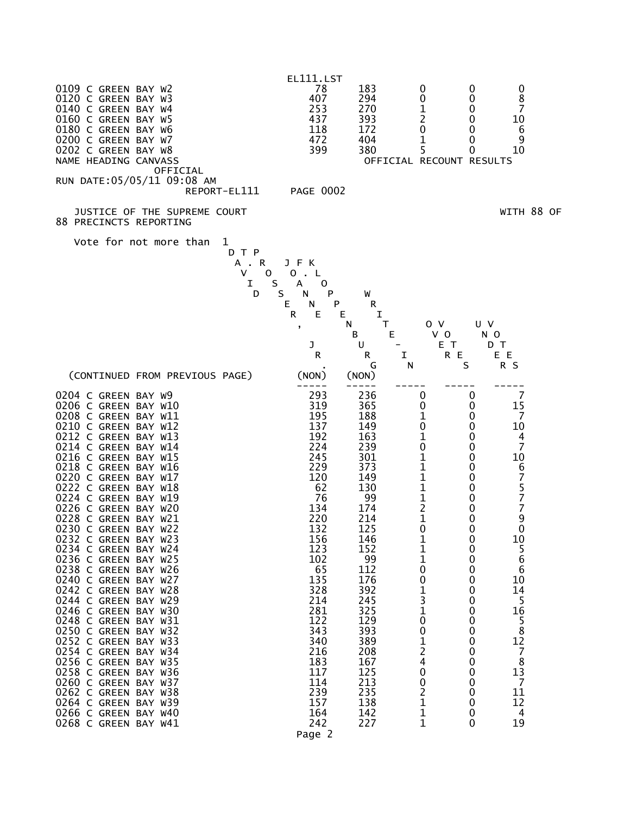

Page 2